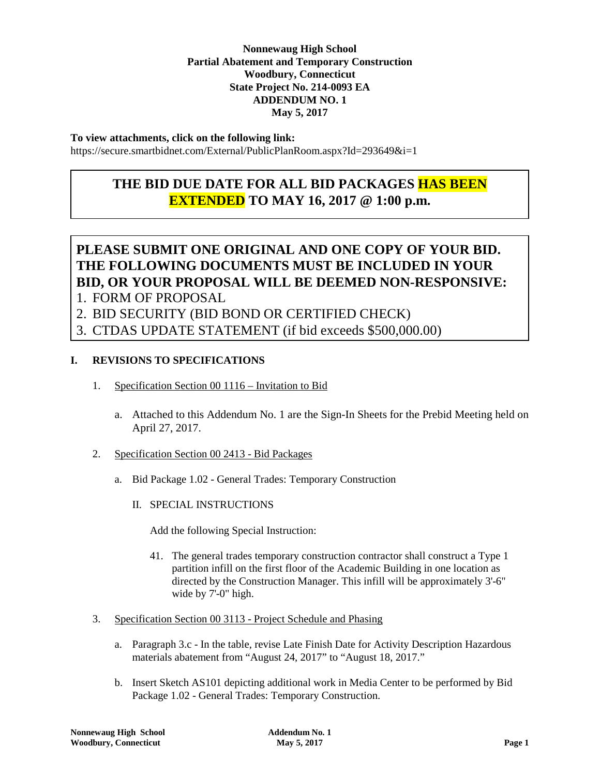#### **Nonnewaug High School Partial Abatement and Temporary Construction State Project No. 214-0093 EA ADDENDUM NO. 1 May 5, 2017 Woodbury, Connecticut**

#### **To view attachments, click on the following link:**

https://secure.smartbidnet.com/External/PublicPlanRoom.aspx?Id=293649&i=1

## **THE BID DUE DATE FOR ALL BID PACKAGES HAS BEEN EXTENDED TO MAY 16, 2017 @ 1:00 p.m.**

# **PLEASE SUBMIT ONE ORIGINAL AND ONE COPY OF YOUR BID. THE FOLLOWING DOCUMENTS MUST BE INCLUDED IN YOUR BID, OR YOUR PROPOSAL WILL BE DEEMED NON-RESPONSIVE:**

- 1. FORM OF PROPOSAL
- 2. BID SECURITY (BID BOND OR CERTIFIED CHECK)

3. CTDAS UPDATE STATEMENT (if bid exceeds \$500,000.00)

#### **I. REVISIONS TO SPECIFICATIONS**

- 1. Specification Section 00 1116 Invitation to Bid
	- a. Attached to this Addendum No. 1 are the Sign-In Sheets for the Prebid Meeting held on April 27, 2017.
- 2. Specification Section 00 2413 Bid Packages
	- a. Bid Package 1.02 General Trades: Temporary Construction
		- II. SPECIAL INSTRUCTIONS

Add the following Special Instruction:

- 41. The general trades temporary construction contractor shall construct a Type 1 partition infill on the first floor of the Academic Building in one location as directed by the Construction Manager. This infill will be approximately 3'-6" wide by 7'-0" high.
- 3. Specification Section 00 3113 Project Schedule and Phasing
	- a. Paragraph 3.c In the table, revise Late Finish Date for Activity Description Hazardous materials abatement from "August 24, 2017" to "August 18, 2017."
	- b. Insert Sketch AS101 depicting additional work in Media Center to be performed by Bid Package 1.02 - General Trades: Temporary Construction.